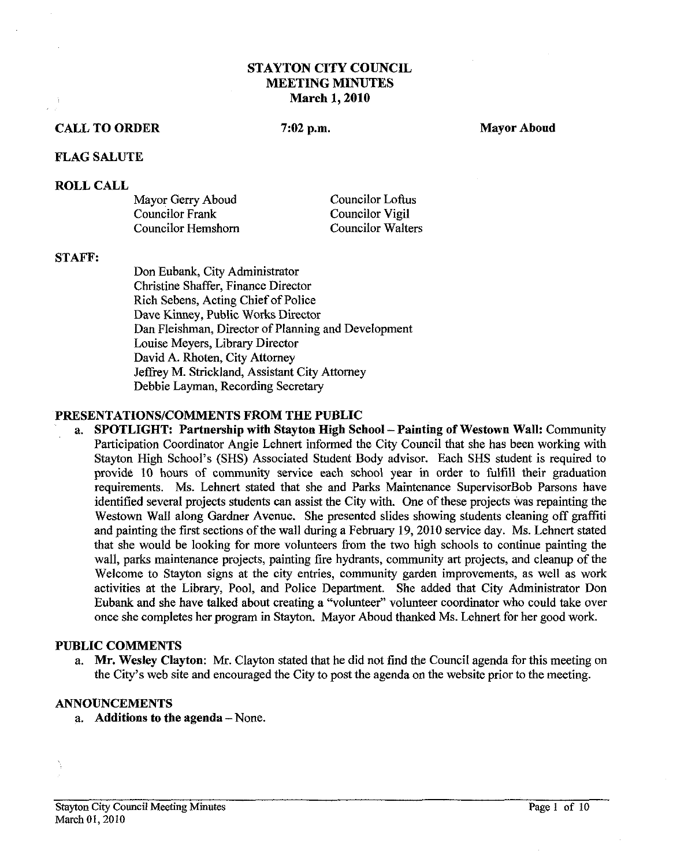# **STAYTON CITY COUNCIL MEETING MINUTES March 1,2010**

## **CALL TO ORDER**

 $7:02$  p.m.

**Mayor Aboud** 

#### **FLAG SALUTE**

#### **ROLL CALL**

Mayor Gerry Aboud Councilor Frank Councilor Hemshorn

Councilor Lofhs Councilor Vigil Councilor Walters

#### **STAFR**

Don Eubank, City Administrator Christine Shaffer, Finance Director Rich Sebens, Acting Chief of Police Dave Kinney, Public Works Director Dan Fleishman, Director of Planning and Development Louise Meyers, Library Director David A. Rhoten, City Attorney Jeffrey M. Strickland, Assistant City Attorney Debbie Layman, Recording Secretary

# **PRESENTATIONSICOMMENTS FROM THE PUBLIC**

a. **SPOTLIGHT:** Partnership with Stayton High School – Painting of Westown Wall: Community Participation Coordinator Angie Lehnert informed the City Council that she has been working with Stayton High School's (SHS) Associated Student Body advisor. Each SHS student is required to provide 10 hours of community service each school year in order to fulfill their graduation requirements. Ms. Lehnert stated that she and Parks Maintenance SupervisorBob Parsons have identified several projects students can assist the City with. One of these projects was repainting the Westown Wall along Gardner Avenue. She presented slides showing students cleaning off graffiti and painting the first sections of the wall during a February 19,2010 service day. Ms. Lehnert stated that she would be looking for more volunteers from the two high schools to continue painting the wall, parks maintenance projects, painting fire hydrants, community art projects, and cleanup of the Welcome to Stayton signs at the city entries, community garden improvements, as well as work activities at the Library, Pool, and Police Department. She added that City Administrator Don Eubank and she have talked about creating a "voluntee? volunteer coordmator who could take over once she completes her program in Stayton. Mayor Aboud thanked Ms. Lehnert for her good work.

### **PUBLIC COMMENTS**

a. **Mr. Wesley Clayton:** Mr. Clayton stated that he did not find the Council agenda for this meeting on the City's web site and encouraged the City to post the agenda on the website prior to the meeting.

#### **ANNOUNCEMENTS**

a. **Additions to the agenda** -None.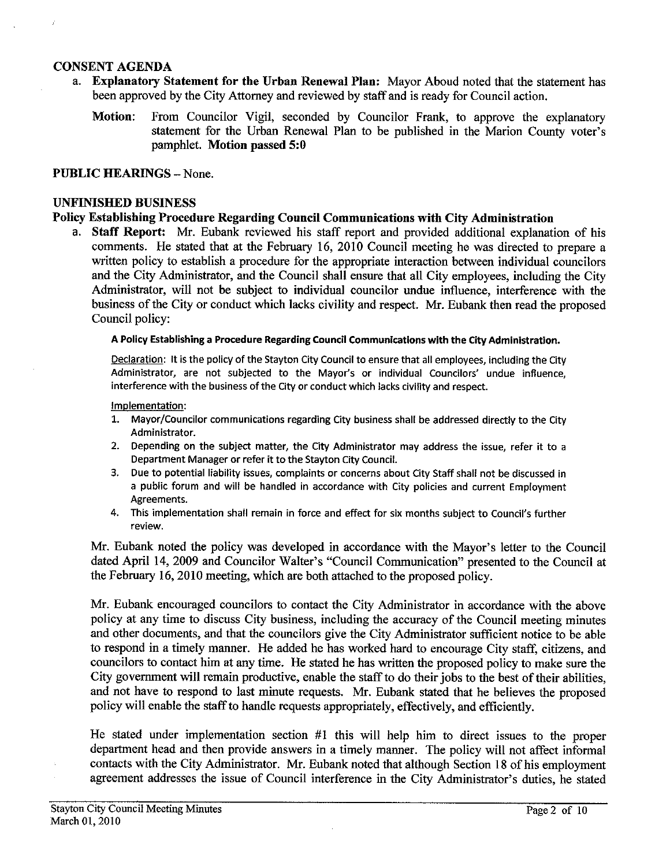## **CONSENT AGENDA**

- a. **Explanatory Statement** for **the Urban Renewal Plan:** Mayor Aboud noted that the statement has been approved by the City Attorney and reviewed by staff and is ready for Council action.
	- **Motion:** From Councilor Vigil, seconded by Councilor Frank, to approve the explanatory statement for the Urban Renewal Plan to be published in the Marion County voter's pamphlet. **Motion passed 5:O**

#### **PUBLIC HEARINGS - None.**

#### **UNFINISHED BUSINESS**

## **Policy Establishing Procedure Regarding Council Communications with City Administration**

**a. Staff Report: Mr.** Eubank reviewed his staff report and provided additional explanation of his comments. He stated that at the February 16, 2010 Council meeting he was directed to prepare a written policy to establish a procedure for the appropriate interaction between individual councilors and the City Administrator, and the Council shall ensure that all City employees, including the City Administrator, will not be subject to individual councilor undue influence, interference with the business of the City or conduct which lacks civility and respect. Mr. Eubank then read the proposed Council policy:

#### A Policy Establishing a Procedure Regarding Council Communications with the City Administration.

Declaration: It is the policy of the Stayton City Council to ensure that all employees, including the City Administrator, are not subjected to the Mayor's or individual Councilors' undue influence, interference with the business of the City or conduct which lacks civility and respect.

#### Implementation:

- 1. Mayor/Councilor communications regarding City business shall be addressed directly to the City Administrator.
- **2.** Depending on the subject matter, the City Administrator may address the issue, refer it to a Department Manager or refer it to the Stayton City Council.
- **3.** Due to potential liability issues, complaints or concerns about City Staff shall not be discussed in a public forum and will be handled in accordance with City policies and current Employment Agreements.
- 4. This implementation shall remain in force and effect for six months subject to Council's further review.

Mr. Eubank noted the policy was developed in accordance with the Mayor's letter to the Council dated April 14, 2009 and Councilor Walter's "Council Communication" presented to the Council at the February 16,2010 meeting, which are both attached to the proposed policy.

Mr. Eubank encouraged councilors to contact the City Administrator in accordance with the above policy at any time to discuss City business, including the accuracy of the Council meeting minutes and other documents, and that the councilors give the City Administrator sufficient notice to be able to respond in a timely manner. He added he has worked hard to encourage City staff, citizens, and councilors to contact him at any time. He stated he has written the proposed policy to make sure the City government will remain productive, enable the staff to do their jobs to the best of their abilities, and not have to respond to last minute requests. Mr. Eubank stated that he believes the proposed policy will enable the staff to handle requests appropriately, effectively, and efficiently.

He stated under implementation section #1 this will help him to direct issues to the proper department head and then provide answers in a timely manner. The policy will not affect informal contacts with the City Administrator. Mr. Eubank noted that although Section 18 of his employment agreement addresses the issue of Council interference in the City Administrator's duties, he stated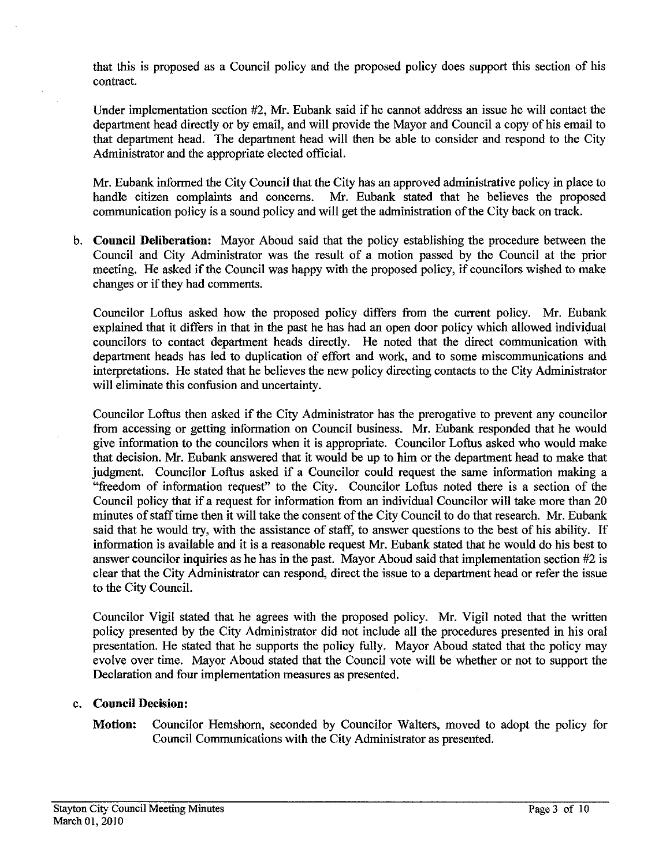that this is proposed as a Council policy and the proposed policy does support this section of his contract.

Under implementation section #2, Mr. Eubank said if he cannot address an issue he will contact the department head directly or by email, and will provide the Mayor and Council a copy of his email to that department head. The department head will then be able to consider and respond to the City Administrator and the appropriate elected official.

Mr. Eubank informed the City Council that the City has an approved administrative policy in place to handle citizen complaints and concerns. Mr. Eubank stated that he believes the proposed communication policy is a sound policy and will get the administration of the City hack on track.

b. **Council Deliberation:** Mayor Aboud said that the policy establishing the procedure between the Council and City Administrator was the result of a motion passed by the Council at the prior meeting. He asked if the Council was happy with the proposed policy, if councilors wished to make changes or if they had comments.

Councilor Loftus asked how the proposed policy differs from the current policy. Mr. Eubank explained that it differs in that in the past he has had an open door policy which allowed individual councilors to contact department heads directly. He noted that the direct communication with department heads has led to duplication of effort and work, and to some miscommunications and interpretations. He stated that he believes the new policy directing contacts to the City Administrator will eliminate this confusion and uncertainty.

Councilor Loftus then asked if the City Administrator has the prerogative to prevent any councilor from accessing or getting information on Council business. Mr. Eubank responded that he would give information to the councilors when it is appropriate. Councilor Loftus asked who would make that decision. Mr. Eubank answered that it would be up to him or the department head to make that judgment. Councilor Loftus asked if a Councilor could request the same information making a "freedom of information request" to the City. Councilor Loftus noted there is a section of the Council policy that if a request for information from an individual Councilor will take more than 20 minutes of staff time then it will take the consent of the City Council to do that research. Mr. Eubank said that he would **try,** with the assistance of staff, to answer questions to the best of his ability. If information is available and it is a reasonable request Mr. Eubank stated that he would do his best to answer councilor inquiries as he has in the past. Mayor Aboud said that implementation section #2 is clear that the City Administrator can respond, direct the issue to a department head or refer the issue to the City Council.

Councilor Vigil stated that he agrees with the proposed policy. Mr. Vigil noted that the written policy presented by the City Administrator did not include all the procedures presented in his oral presentation. He stated that he supports the policy fully. Mayor Aboud stated that the policy may evolve over time. Mayor Aboud stated that the Council vote will be whether or not to support the Declaration and four implementation measures as presented.

# c. **Council Decision:**

**Motion:** Councilor Hemshorn, seconded by Councilor Walters, moved to adopt the policy for Council Communications with the City Administrator as presented.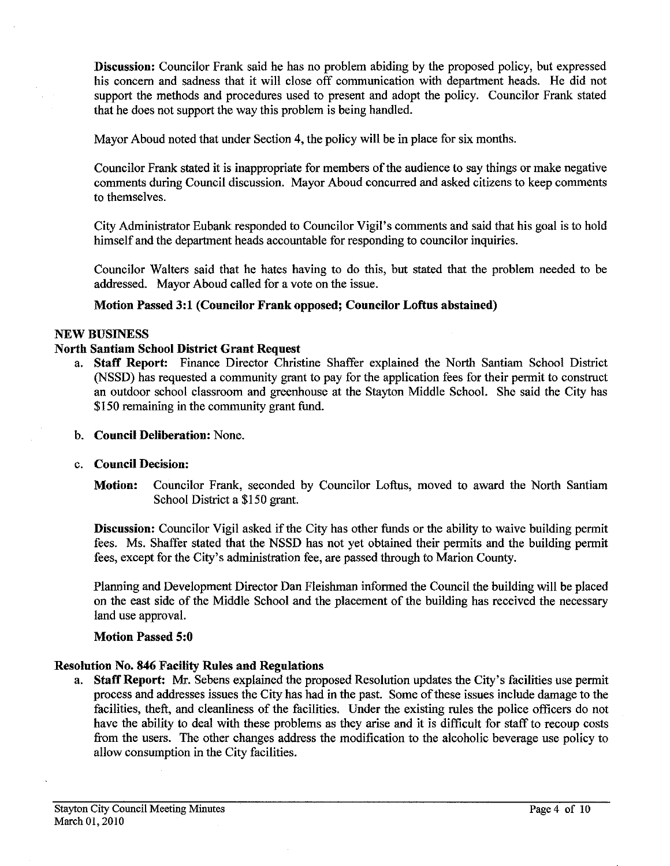**Discussion:** Councilor Frank said he has no problem abiding by the proposed policy, but expressed his concern and sadness that it will close off communication with department heads. He did not support the methods and procedures used to present and adopt the policy. Councilor Frank stated that he does not support the way this problem is being handled.

Mayor Aboud noted that under Section 4, the policy will be in place for six months.

Councilor Frank stated it is inappropriate for members of the audience to say things or make negative comments during Council discussion. Mayor Aboud concurred and asked citizens to keep comments to themselves.

City Administrator Eubank responded to Councilor Vigil's comments and said that his goal is to hold himself and the department heads accountable for responding to councilor inquiries.

Councilor Walters said that he hates having to do this, but stated that the problem needed to be addressed. Mayor Aboud called for a vote on the issue.

## **Motion Passed 3:l (Councilor Frank opposed; Councilor Loftus abstained)**

#### **NEW BUSINESS**

## **North Santiam School District Grant Request**

a. **Staff Report:** Finance Director Christine Shaffer explained the North Santiam School District (NSSD) has requested a community grant to pay for the application fees for their permit to construct an outdoor school classroom and greenhouse at the Stayton Middle School. She said the City has \$150 remaining in the community grant fund.

#### b. **Council Deliberation:** None.

#### c. **Council Decision:**

**Motion:** Councilor Frank, seconded by Councilor Loftus, moved to award the North Santiam School District a \$150 grant.

**Discussion:** Councilor Vigil asked if the City has other funds or the ability to waive building permit fees. Ms. Shaffer stated that the NSSD has not yet obtained their permits and the building permit fees, except for the City's administration fee, are passed through to Marion County.

Planning and Development Director Dan Fleishman informed the Council the building will he placed on the east side of the Middle School and the placement of the building has received the necessary land use approval.

#### **Motion Passed 5:O**

#### **Resolution No. 846 Facility Rules and Regulations**

a. **Staff Report:** Mr. Sebens explained the proposed Resolution updates the City's facilities use permit process and addresses issues the City has had in the past. Some of these issues include damage to the facilities, theft, and cleanliness of the facilities. Under the existing rules the police officers do not have the ability to deal with these problems as they arise and it is difficult for staff to recoup costs from the users. The other changes address the modification to the alcoholic beverage use policy to allow consumption in the City facilities.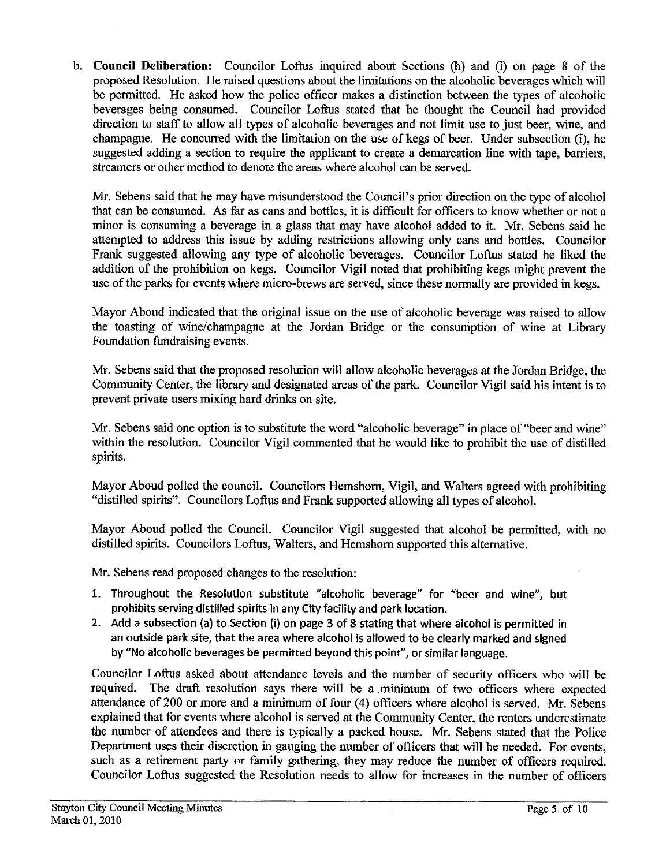b. Council Deliberation: Councilor Loftus inquired about Sections (h) and (i) on page 8 of the proposed Resolution. He raised questions about the limitations on the alcoholic beverages which will be permitted. He asked how the police officer makes a distinction between the types of alcoholic beverages being consumed. Councilor Loftus stated that he thought the Council had provided direction to staff to allow all types of alcoholic beverages and not limit use to just beer, wine, and champagne. He concurred with the limitation on the use of kegs of beer. Under subsection (i), he suggested adding a section to require the applicant to create a demarcation line with tape, barriers, streamers or other method to denote the areas where alcohol can be served.

Mr. Sebens said that he may have misunderstood the Council's prior direction on the type of alcohol that can be consumed. As far as cans and bottles, it is difficult for officers to know whether or not a minor is consuming a beverage in a glass that may have alcohol added to it. Mr. Sebens said he attempted to address this issue by adding restrictions allowing only cans and bottles. Councilor Frank suggested allowing any type of alcoholic beverages. Councilor Loftus stated he liked the addition of the prohibition on kegs. Councilor Vigil noted that prohibiting kegs might prevent the use of the parks for events where micro-brews are served, since these normally are provided in kegs.

Mayor Aboud indicated that the original issue on the use of alcoholic beverage was raised to allow the toasting of wine/champagne at the Jordan Bridge or the consumption of wine at Library Foundation fundraising events.

Mr. Sebens said that the proposed resolution will allow alcoholic beverages at the Jordan Bridge, the Community Center, the library and designated areas of the park. Councilor Vigil said his intent is to prevent private users mixing hard drinks on site.

Mr. Sebens said one option is to substitute the word "alcoholic beverage" in place of "beer and wine" within the resolution. Councilor Vigil commented that he would like to prohibit the use of distilled spirits.

Mayor Aboud polled the council. Councilors Hemshom, Vigil, and Walters agreed with prohibiting "distilled spirits". Councilors Lofius and Frank supported allowing all types of alcohol.

Mayor Aboud polled the Council. Councilor Vigil suggested that alcohol he permitted, with no distilled spirits. Councilors Loftus, Walters, and Hemshom supported this alternative.

Mr. Sebens read proposed changes to the resolution:

- 1. Throughout the Resolution substitute "alcoholic beverage" for "beer and wine", but prohibits serving distilled spirits in any City facility and park location.
- 2. Add a subsection (a) to Section (i) on page **3** of 8 stating that where alcohol is permitted in an outside park site, that the area where alcohol is allowed to be clearly marked and signed by "No alcoholic beverages be permitted beyond this point", or similar language.

Councilor Loftus asked about attendance levels and the number of security officers who will be required. The draft resolution says there will be a minimum of two officers where expected attendance of 200 or more and a minimum of four (4) officers where alcohol is served. Mr. Sebens explained that for events where alcohol is served at the Community Center, the renters underestimate the number of attendees and there is typically a packed house. Mr. Sebens stated that the Police Department uses their discretion in gauging the number of officers that will be needed. For events, such as a retirement party or family gathering, they may reduce the number of officers required. Councilor Loftus suggested the Resolution needs to allow for increases in the number of officers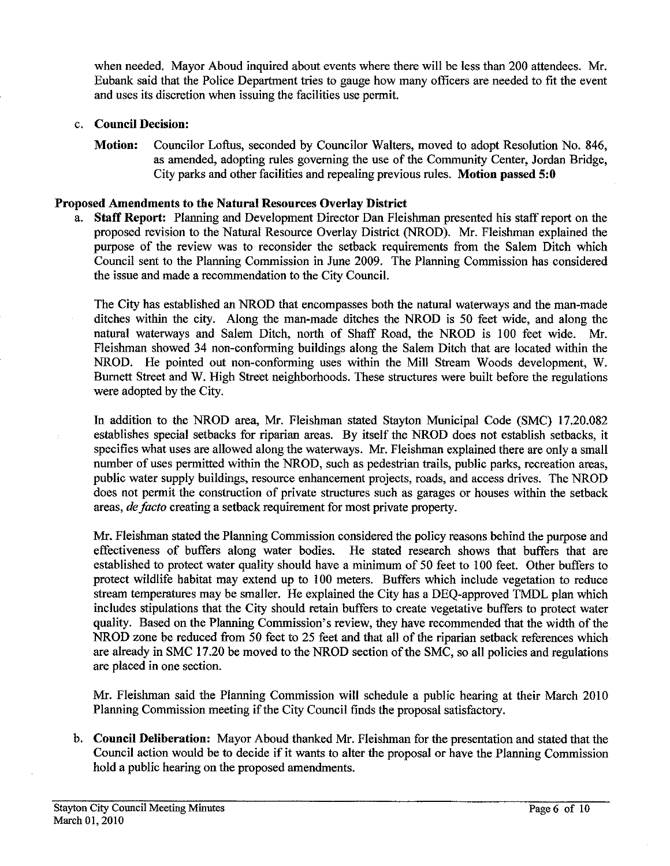when needed. Mayor Aboud inquired about events where there will be less than 200 attendees. Mr. Eubank said that the Police Department tries to gauge how many officers are needed to fit the event and uses its discretion when issuing the facilities use permit.

## c. Council Decision:

Motion: Councilor Loftus, seconded by Councilor Walters, moved to adopt Resolution No. 846, as amended, adopting rules governing the use of the Community Center, Jordan Bridge, City parks and other facilities and repealing previous rules. Motion passed **5:O** 

## Proposed Amendments to the Natural Resources Overlay District

a. **Staff** Report: Planning and Development Director Dan Fleishman presented his staff report on the proposed revision to the Natural Resource Overlay District (NROD). Mr. Fleishman explained the purpose of the review was to reconsider the setback requirements from the Salem Ditch which Council sent to the Planning Commission in June 2009. The Planning Commission has considered the issue and made a recommendation to the City Council.

The City has established an NROD that encompasses both the natural waterways and the man-made ditches within the city. Along the man-made ditches the NROD is 50 feet wide, and along the natural waterways and Salem Ditch, north of Shaff Road, the NROD is 100 feet wide. Mr. Fleishman showed 34 non-conforming buildings along the Salem Ditch that are located within the NROD. He pointed out non-conforming uses within the Mill Stream Woods development, W. Bumett Street and W. High Street neighborhoods. These structures were built before the regulations were adopted by the City.

In addition to the NROD area, Mr. Fleishman stated Stayton Municipal Code (SMC) 17.20.082 establishes special setbacks for riparian areas. By itself the NROD does not establish setbacks, it specifies what uses are allowed along the waterways. Mr. Fleishman explained there are only a small number of uses permitted within the NROD, such as pedestrian trails, public parks, recreation areas, public water supply buildings, resource enhancement projects, roads, and access drives. The NROD does not permit the construction of private structures such as garages or houses within the setback areas, *de* facto creating a setback requirement for most private property.

Mr. Fleishman stated the Planning Commission considered the policy reasons behind the purpose and effectiveness of buffers along water bodies. He stated research shows that buffers that are established to protect water quality should have a minimum of 50 feet to 100 feet. Other buffers to protect wildlife habitat may extend up to 100 meters. Buffers which include vegetation to reduce stream temperatures may be smaller. He explained the City has a DEQ-approved TMDL plan which includes stipulations that the City should retain buffers to create vegetative buffers to protect water quality. Based on the Planning Commission's review, they have recommended that the width of the NROD zone be reduced from 50 feet to 25 feet and that all of the riparian setback references which are already in SMC 17.20 be moved to the NROD section of the SMC, so all policies and regulations are placed in one section.

Mr. Fleishman said the Planning Commission will schedule a public hearing at their March 2010 Planning Commission meeting if the City Council finds the proposal satisfactory.

b. Council Deliberation: Mayor Aboud thanked Mr. Fleishman for the presentation and stated that the Council action would be **to** decide if it wants to alter the proposal or have the Planning Commission hold a public hearing on the proposed amendments.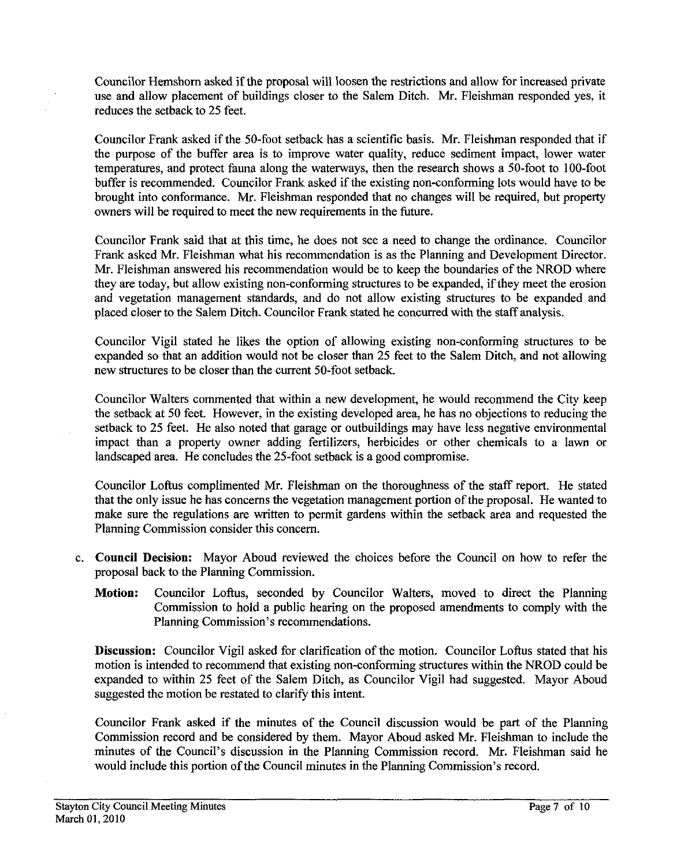Councilor Hemshom asked if the proposal will loosen the restrictions and allow for increased private use and allow placement of buildings closer to the Salem Ditch. *Mr.* Fleishman responded yes, it reduces the setback to 25 feet.

Councilor Frank asked if the 50-foot setback has a scientific basis. *Mr.* Fleishman responded that if the purpose of the buffer area is to improve water quality, reduce sediment impact, lower water temperatures, and protect fauna along the waterways, then the research shows a 50-foot to 100-foot buffer is recommended. Councilor Frank asked if the existing non-conforming lots would have to be brought into conformance. Mr. Fleishman responded that no changes will be required, but property owners will be required to meet the new requirements in the future.

Councilor Frank said that at this time, he does not see a need to change the ordinance. Councilor Frank asked Mr. Fleishman what his recommendation is as the Planning and Development Director. Mr. Fleishman answered his recommendation would be to keep the boundaries of the NROD where they are today, but allow existing non-conforming structures to be expanded, if they meet the erosion and vegetation management standards, and do not allow existing structures to be expanded and placed closer to the Salem Ditch. Councilor Frank stated he concurred with the staff analysis.

Councilor Vigil stated he likes the option of allowing existing non-conforming structures to be expanded so that an addition would not be closer than 25 feet to the Salem Ditch, and not allowing new structures to be closer than the current 50-foot setback.

Councilor Walters commented that within a new development, he would recommend the City keep the setback at 50 feet. However, in the existing developed area, he has no objections to reducing the setback to 25 feet. He also noted that garage or outbuildings may have less negative environmental impact than a property owner adding fertilizers, herbicides or other chemicals to a lawn or landscaped area. He concludes the 25-foot setback is a good compromise.

Councilor Loftus complimented Mr. Fleishman on the thoroughness of the staff report. He stated that the only issue he has concerns the vegetation management portion of the proposal. He wanted to make sure the regulations are written to permit gardens within the setback area and requested the Planning Commission consider this concern.

- c. **Council Decision:** Mayor Aboud reviewed the choices before the Council on how to refer the proposal back to the Planning Commission.
	- **Motion:** Councilor Loftus, seconded by Councilor Walters, moved to direct the Planning Commission to hold a public hearing on the proposed amendments to comply with the Planning Commission's recommendations.

**Discussion:** Councilor Vigil asked for clarification of the motion. Councilor Loftus stated that his motion is intended to recommend that existing non-conforming structures within the NROD could be expanded to within 25 feet of the Salem Ditch, as Councilor Vigil had suggested. Mayor Aboud suggested the motion be restated to clarify this intent.

Councilor Frank asked if the minutes of the Council discussion would be part of the Planning Commission record and be considered by them. Mayor Aboud asked *Mr.* Fleishman to include the minutes of the Council's discussion in the Planning Commission record. *Mr.* Fleishman said he would include this portion of the Council minutes in the Planning Commission's record.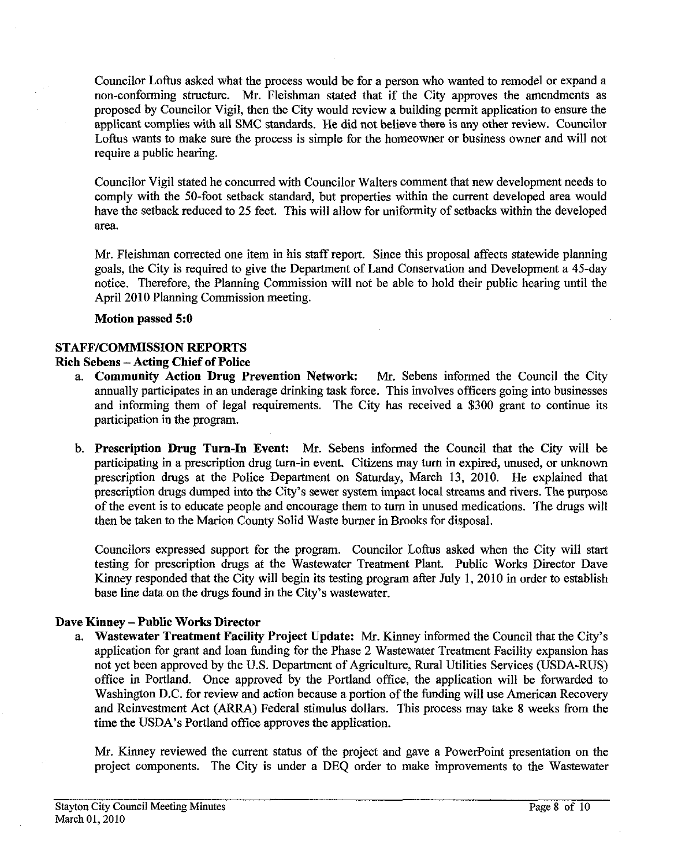Councilor Loftus asked what the process would be for a person who wanted to remodel or expand a non-conforming structure. Mr. Fleishman stated that if the City approves the amendments as proposed by Councilor Vigil, then the City would review a building permit application to ensure the applicant complies with all SMC standards. He did not believe **there** is any other review. Councilor Loftus wants to make sure the process is simple for the homeowner or business owner and will not require a public hearing.

Councilor Vigil stated he concurred with Councilor Walters comment that new development needs to comply with the 50-foot setback standard, but properties within the current developed area would have the setback reduced *to* 25 feet. This will allow for uniformity of setbacks within the developed area.

Mr. Fleishman corrected one item in his staff report. Since this proposal affects statewide planning goals, the City is required to give the Department of Land Conservation and Development a 45-day notice. Therefore, the Planning Commission will not be able to hold their public hearing until the April 2010 Planning Commission meeting.

#### **Motion passed 5:O**

# **STAFFICOMMISSION REPORTS**

## **Rich Sebens** - **Acting Chief of Police**

- a. **Community Action Drug Prevention Network:** Mr. Sebens informed the Council the City annually participates in an underage drinking task force. This involves officers going into businesses and informing them of legal requirements. The City has received a \$300 grant to continue its participation in the program.
- b. **Prescription Drug Turn-In Event:** Mr. Sebens informed the Council that the City will be participating in a prescription drug turn-in event. Citizens may turn in expired, unused, or unknown prescription drugs at the Police Department on Saturday, March 13, 2010. He explained that prescription drugs dumped into the City's sewer system impact local streams and rivers. The purpose of the event is to educate people and encourage them to turn in unused medications. The drugs will then be taken to the Marion County Solid Waste burner in Brooks for disposal.

Councilors expressed support for the program. Councilor Loftus asked when the City will start testing for prescription drugs at the Wastewater Treatment Plant. Public Works Director Dave Kinney responded that the City will begin its testing program after July 1,2010 in order to establish base line data on the drugs found in the City's wastewater.

# **Dave Kinney -Public Works Director**

a. Wastewater Treatment Facility Project Update: Mr. Kinney informed the Council that the City's application for grant and loan funding for the Phase 2 Wastewater Treatment Facility expansion has not yet been approved by the U.S. Department of Agriculture, Rural Utilities Services (USDA-RUS) office in Portland. Once approved by the Portland office, the application will be forwarded to Washington D.C. for review and action because a portion of the funding will use American Recovery and Reinvestment Act **(ARRA)** Federal stimulus dollars. This process may take **8** weeks from the time the USDA's Portland office approves the application.

Mr. Kinney reviewed the current status of the project and gave a Powerpoint presentation on the project components. The City is under a DEQ order to make improvements to the Wastewater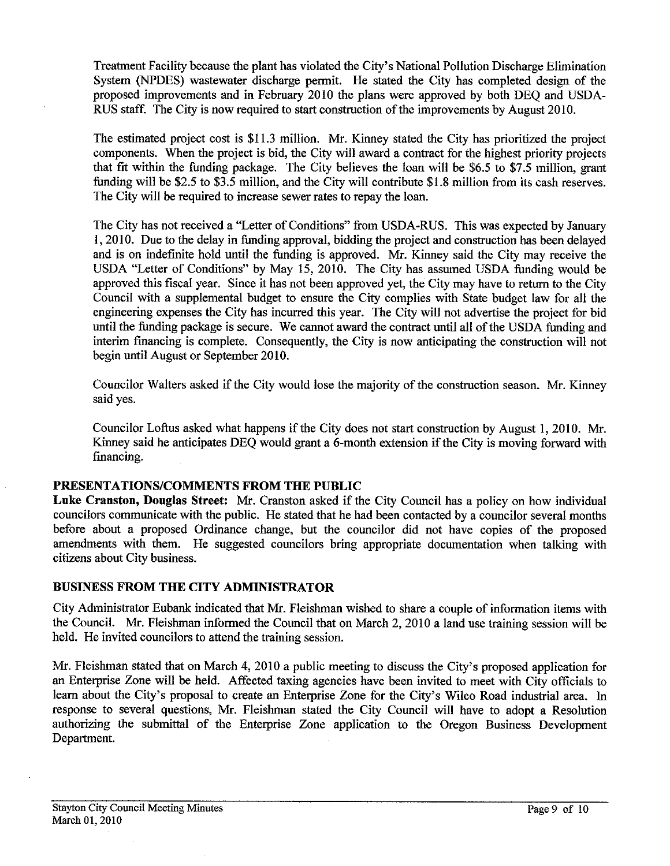Treatment Facility because the plant has violated the City's National Pollution Discharge Elimination System (NPDES) wastewater discharge permit. He stated the City has completed design of the proposed improvements and in February 2010 the plans were approved by both DEQ and USDA-RUS staff. The City is now required to start construction of the improvements by August 2010.

The estimated project cost is \$11.3 million. Mr. Kinney stated the City has prioritized the project components. When the project is bid, the City will award a contract for the highest priority projects that fit within the funding package. The City believes the loan will be \$6.5 to \$7.5 million, grant funding will be \$2.5 to \$3.5 million, and the City will contribute \$1.8 million from its cash reserves. The City will be required to increase sewer rates to repay the loan.

The City has not received a "Letter of Conditions" fiom USDA-RUS. This was expected by January 1,2010. Due to the delay in funding approval, bidding the project and construction has been delayed and is on indefinite hold until the funding is approved. *Mr.* Kinney said the City may receive the USDA "Letter of Conditions" by May 15, 2010. The City has assumed USDA funding would be approved this fiscal year. Since it has not been approved yet, the City may have to return to the City Council with a supplemental budget to ensure the City complies with State budget law for all the engineering expenses the City has incurred this year. The City will not advertise the project for bid until the funding package is secure. We cannot award the contract until all of the USDA funding and interim financing is complete. Consequently, the City is now anticipating the construction will not begin until August or September 2010.

Councilor Walters asked if the City would lose the majority of the construction season. *Mr.* Kinney said yes.

Councilor Loftus asked what happens if the City does not start construction by August 1,2010. Mr. Kinney said he anticipates DEQ would grant a 6-month extension if the City is moving forward with financing.

# **PRESENTATIONSICOMMENTS FROM THE PUBLIC**

Luke Cranston, Douglas Street: Mr. Cranston asked if the City Council has a policy on how individual councilors communicate with the public. He stated that he had been contacted by a councilor several months before about a proposed Ordinance change, but the councilor did not have copies of the proposed amendments with them. He suggested councilors bring appropriate documentation when talking with citizens about City business.

# **BUSINESS FROM THE CITY ADMINISTRATOR**

City Administrator Eubank indicated that Mr. Fleishman wished to share a couple of information items with the Council. Mr. Fleishman informed the Council that on March 2, 2010 a land use training session will be held. He invited councilors to attend the training session.

*Mr.* Fleishman stated that on March 4, 2010 a public meeting to discuss the City's proposed application for an Enterprise Zone will be held. Affected taxing agencies have been invited to meet with City officials to learn about the City's proposal to create an Enterprise Zone for the City's Wilco Road industrial area. In response to several questions, Mr. Fleishman stated the City Council will have to adopt a Resolution authorizing the submittal of the Enterprise Zone application to the Oregon Business Development Department.